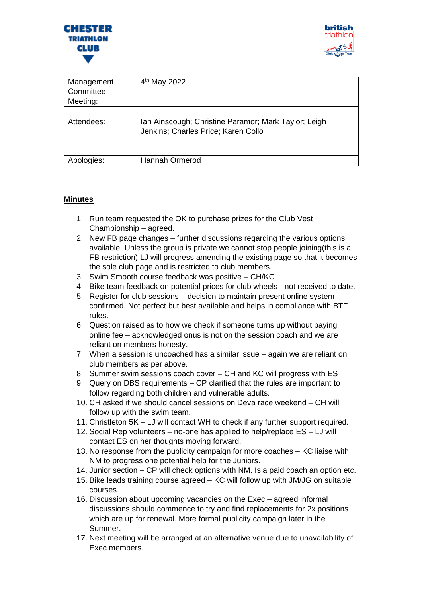



| Management<br>Committee<br>Meeting: | $4th$ May 2022                                                                              |
|-------------------------------------|---------------------------------------------------------------------------------------------|
|                                     |                                                                                             |
| Attendees:                          | Ian Ainscough; Christine Paramor; Mark Taylor; Leigh<br>Jenkins; Charles Price; Karen Collo |
|                                     |                                                                                             |
| Apologies:                          | Hannah Ormerod                                                                              |

## **Minutes**

- 1. Run team requested the OK to purchase prizes for the Club Vest Championship – agreed.
- 2. New FB page changes further discussions regarding the various options available. Unless the group is private we cannot stop people joining(this is a FB restriction) LJ will progress amending the existing page so that it becomes the sole club page and is restricted to club members.
- 3. Swim Smooth course feedback was positive CH/KC
- 4. Bike team feedback on potential prices for club wheels not received to date.
- 5. Register for club sessions decision to maintain present online system confirmed. Not perfect but best available and helps in compliance with BTF rules.
- 6. Question raised as to how we check if someone turns up without paying online fee – acknowledged onus is not on the session coach and we are reliant on members honesty.
- 7. When a session is uncoached has a similar issue again we are reliant on club members as per above.
- 8. Summer swim sessions coach cover CH and KC will progress with ES
- 9. Query on DBS requirements CP clarified that the rules are important to follow regarding both children and vulnerable adults.
- 10. CH asked if we should cancel sessions on Deva race weekend CH will follow up with the swim team.
- 11. Christleton 5K LJ will contact WH to check if any further support required.
- 12. Social Rep volunteers no-one has applied to help/replace ES LJ will contact ES on her thoughts moving forward.
- 13. No response from the publicity campaign for more coaches KC liaise with NM to progress one potential help for the Juniors.
- 14. Junior section CP will check options with NM. Is a paid coach an option etc.
- 15. Bike leads training course agreed KC will follow up with JM/JG on suitable courses.
- 16. Discussion about upcoming vacancies on the Exec agreed informal discussions should commence to try and find replacements for 2x positions which are up for renewal. More formal publicity campaign later in the Summer.
- 17. Next meeting will be arranged at an alternative venue due to unavailability of Exec members.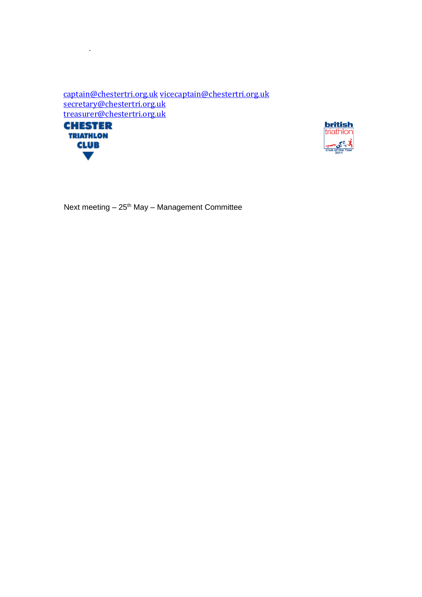captain@chestertri.org.uk vicecaptain@chestertri.org.uk secretary@chestertri.org.uk treasurer@chestertri.org.uk



.



Next meeting  $-25<sup>th</sup>$  May – Management Committee